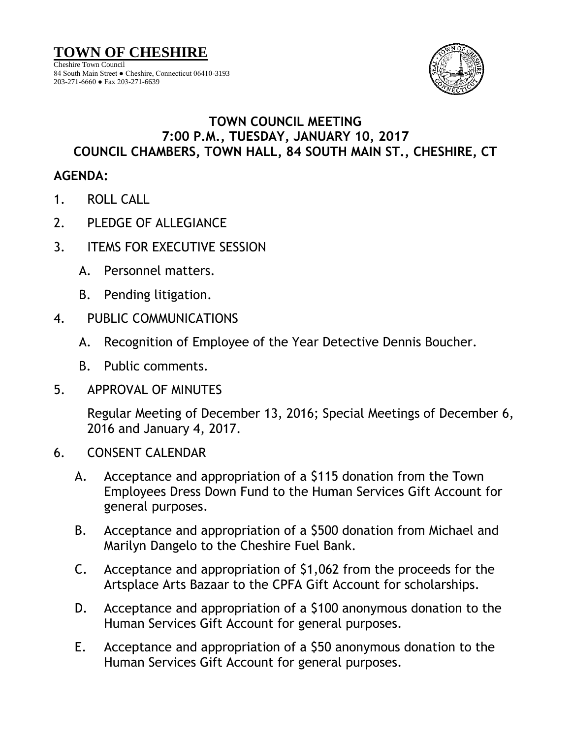

## **TOWN COUNCIL MEETING 7:00 P.M., TUESDAY, JANUARY 10, 2017 COUNCIL CHAMBERS, TOWN HALL, 84 SOUTH MAIN ST., CHESHIRE, CT**

## **AGENDA:**

- 1. ROLL CALL
- 2. PLEDGE OF ALLEGIANCE
- 3. ITEMS FOR EXECUTIVE SESSION
	- A. Personnel matters.
	- B. Pending litigation.
- 4. PUBLIC COMMUNICATIONS
	- A. Recognition of Employee of the Year Detective Dennis Boucher.
	- B. Public comments.
- 5. APPROVAL OF MINUTES

Regular Meeting of December 13, 2016; Special Meetings of December 6, 2016 and January 4, 2017.

- 6. CONSENT CALENDAR
	- A. Acceptance and appropriation of a \$115 donation from the Town Employees Dress Down Fund to the Human Services Gift Account for general purposes.
	- B. Acceptance and appropriation of a \$500 donation from Michael and Marilyn Dangelo to the Cheshire Fuel Bank.
	- C. Acceptance and appropriation of \$1,062 from the proceeds for the Artsplace Arts Bazaar to the CPFA Gift Account for scholarships.
	- D. Acceptance and appropriation of a \$100 anonymous donation to the Human Services Gift Account for general purposes.
	- E. Acceptance and appropriation of a \$50 anonymous donation to the Human Services Gift Account for general purposes.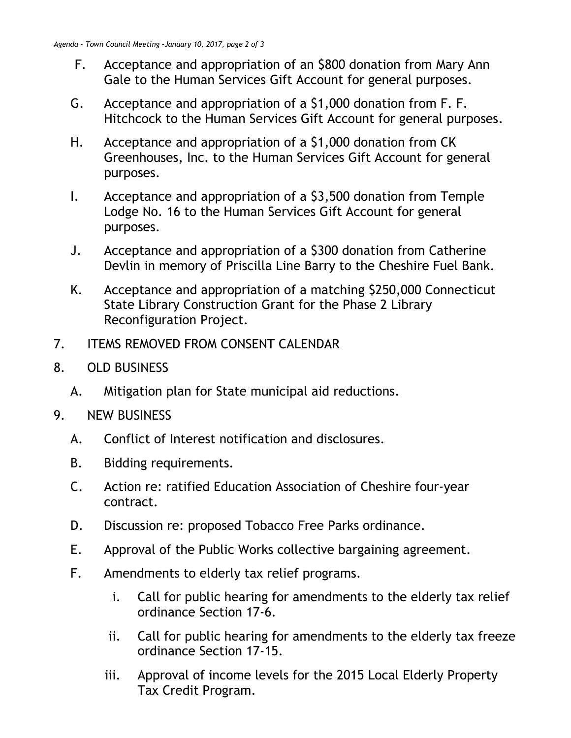- F. Acceptance and appropriation of an \$800 donation from Mary Ann Gale to the Human Services Gift Account for general purposes.
- G. Acceptance and appropriation of a \$1,000 donation from F. F. Hitchcock to the Human Services Gift Account for general purposes.
- H. Acceptance and appropriation of a \$1,000 donation from CK Greenhouses, Inc. to the Human Services Gift Account for general purposes.
- I. Acceptance and appropriation of a \$3,500 donation from Temple Lodge No. 16 to the Human Services Gift Account for general purposes.
- J. Acceptance and appropriation of a \$300 donation from Catherine Devlin in memory of Priscilla Line Barry to the Cheshire Fuel Bank.
- K. Acceptance and appropriation of a matching \$250,000 Connecticut State Library Construction Grant for the Phase 2 Library Reconfiguration Project.
- 7. ITEMS REMOVED FROM CONSENT CALENDAR
- 8. OLD BUSINESS
	- A. Mitigation plan for State municipal aid reductions.
- 9. NEW BUSINESS
	- A. Conflict of Interest notification and disclosures.
	- B. Bidding requirements.
	- C. Action re: ratified Education Association of Cheshire four-year contract.
	- D. Discussion re: proposed Tobacco Free Parks ordinance.
	- E. Approval of the Public Works collective bargaining agreement.
	- F. Amendments to elderly tax relief programs.
		- i. Call for public hearing for amendments to the elderly tax relief ordinance Section 17-6.
		- ii. Call for public hearing for amendments to the elderly tax freeze ordinance Section 17-15.
		- iii. Approval of income levels for the 2015 Local Elderly Property Tax Credit Program.